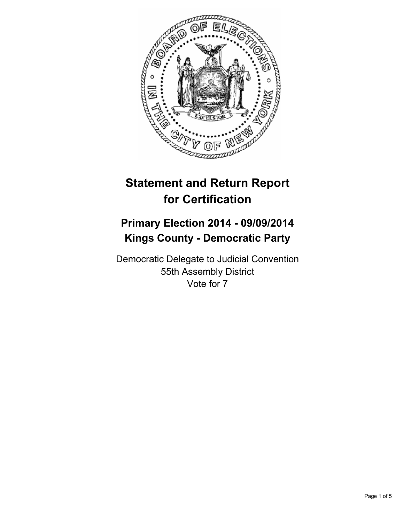

# **Statement and Return Report for Certification**

## **Primary Election 2014 - 09/09/2014 Kings County - Democratic Party**

Democratic Delegate to Judicial Convention 55th Assembly District Vote for 7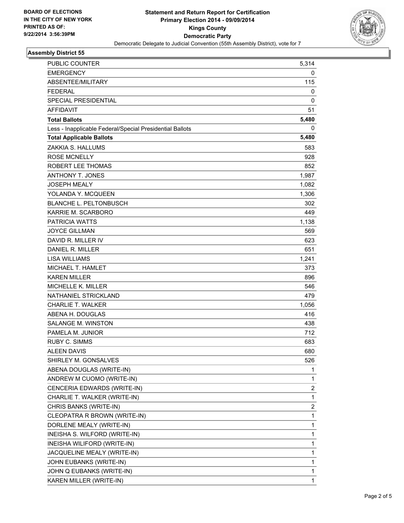

### **Assembly District 55**

| PUBLIC COUNTER                                           | 5,314 |
|----------------------------------------------------------|-------|
| EMERGENCY                                                | 0     |
| ABSENTEE/MILITARY                                        | 115   |
| <b>FEDERAL</b>                                           | 0     |
| <b>SPECIAL PRESIDENTIAL</b>                              | 0     |
| <b>AFFIDAVIT</b>                                         | 51    |
| <b>Total Ballots</b>                                     | 5,480 |
| Less - Inapplicable Federal/Special Presidential Ballots | 0     |
| <b>Total Applicable Ballots</b>                          | 5,480 |
| ZAKKIA S. HALLUMS                                        | 583   |
| <b>ROSE MCNELLY</b>                                      | 928   |
| ROBERT LEE THOMAS                                        | 852   |
| ANTHONY T. JONES                                         | 1,987 |
| <b>JOSEPH MEALY</b>                                      | 1,082 |
| YOLANDA Y. MCQUEEN                                       | 1,306 |
| <b>BLANCHE L. PELTONBUSCH</b>                            | 302   |
| KARRIE M. SCARBORO                                       | 449   |
| <b>PATRICIA WATTS</b>                                    | 1,138 |
| <b>JOYCE GILLMAN</b>                                     | 569   |
| DAVID R. MILLER IV                                       | 623   |
| DANIEL R. MILLER                                         | 651   |
| <b>LISA WILLIAMS</b>                                     | 1,241 |
| MICHAEL T. HAMLET                                        | 373   |
| <b>KAREN MILLER</b>                                      | 896   |
| MICHELLE K. MILLER                                       | 546   |
| NATHANIEL STRICKLAND                                     | 479   |
| <b>CHARLIE T. WALKER</b>                                 | 1,056 |
| ABENA H. DOUGLAS                                         | 416   |
| <b>SALANGE M. WINSTON</b>                                | 438   |
| PAMELA M. JUNIOR                                         | 712   |
| <b>RUBY C. SIMMS</b>                                     | 683   |
| <b>ALEEN DAVIS</b>                                       | 680   |
| SHIRLEY M. GONSALVES                                     | 526   |
| ABENA DOUGLAS (WRITE-IN)                                 | 1     |
| ANDREW M CUOMO (WRITE-IN)                                | 1     |
| CENCERIA EDWARDS (WRITE-IN)                              | 2     |
| CHARLIE T. WALKER (WRITE-IN)                             | 1     |
| CHRIS BANKS (WRITE-IN)                                   | 2     |
| CLEOPATRA R BROWN (WRITE-IN)                             | 1     |
| DORLENE MEALY (WRITE-IN)                                 | 1     |
| INEISHA S. WILFORD (WRITE-IN)                            | 1     |
| INEISHA WILIFORD (WRITE-IN)                              | 1     |
| JACQUELINE MEALY (WRITE-IN)                              | 1     |
| JOHN EUBANKS (WRITE-IN)                                  | 1     |
| JOHN Q EUBANKS (WRITE-IN)                                | 1     |
| KAREN MILLER (WRITE-IN)                                  | 1     |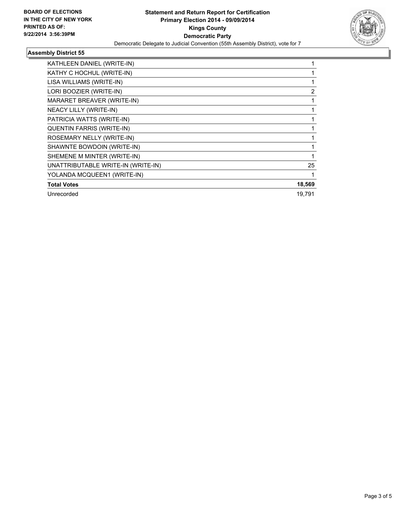

## **Assembly District 55**

| KATHLEEN DANIEL (WRITE-IN)         |        |
|------------------------------------|--------|
| KATHY C HOCHUL (WRITE-IN)          |        |
| LISA WILLIAMS (WRITE-IN)           |        |
| LORI BOOZIER (WRITE-IN)            | 2      |
| MARARET BREAVER (WRITE-IN)         |        |
| <b>NEACY LILLY (WRITE-IN)</b>      |        |
| PATRICIA WATTS (WRITE-IN)          |        |
| QUENTIN FARRIS (WRITE-IN)          |        |
| ROSEMARY NELLY (WRITE-IN)          |        |
| SHAWNTE BOWDOIN (WRITE-IN)         |        |
| SHEMENE M MINTER (WRITE-IN)        |        |
| UNATTRIBUTABLE WRITE-IN (WRITE-IN) | 25     |
| YOLANDA MCQUEEN1 (WRITE-IN)        |        |
| <b>Total Votes</b>                 | 18,569 |
| Unrecorded                         | 19.791 |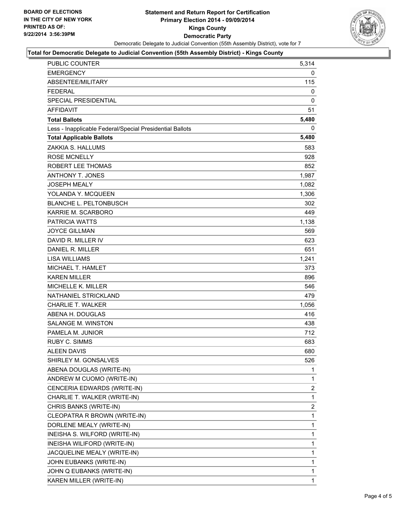

#### **Total for Democratic Delegate to Judicial Convention (55th Assembly District) - Kings County**

| <b>PUBLIC COUNTER</b>                                    | 5,314 |
|----------------------------------------------------------|-------|
| <b>EMERGENCY</b>                                         | 0     |
| ABSENTEE/MILITARY                                        | 115   |
| <b>FEDERAL</b>                                           | 0     |
| <b>SPECIAL PRESIDENTIAL</b>                              | 0     |
| <b>AFFIDAVIT</b>                                         | 51    |
| <b>Total Ballots</b>                                     | 5,480 |
| Less - Inapplicable Federal/Special Presidential Ballots | 0     |
| <b>Total Applicable Ballots</b>                          | 5,480 |
| ZAKKIA S. HALLUMS                                        | 583   |
| <b>ROSE MCNELLY</b>                                      | 928   |
| ROBERT LEE THOMAS                                        | 852   |
| <b>ANTHONY T. JONES</b>                                  | 1,987 |
| <b>JOSEPH MEALY</b>                                      | 1,082 |
| YOLANDA Y. MCQUEEN                                       | 1,306 |
| <b>BLANCHE L. PELTONBUSCH</b>                            | 302   |
| KARRIE M. SCARBORO                                       | 449   |
| <b>PATRICIA WATTS</b>                                    | 1,138 |
| <b>JOYCE GILLMAN</b>                                     | 569   |
| DAVID R. MILLER IV                                       | 623   |
| DANIEL R. MILLER                                         | 651   |
| <b>LISA WILLIAMS</b>                                     | 1,241 |
| MICHAEL T. HAMLET                                        | 373   |
| <b>KAREN MILLER</b>                                      | 896   |
| <b>MICHELLE K. MILLER</b>                                | 546   |
| NATHANIEL STRICKLAND                                     | 479   |
| <b>CHARLIE T. WALKER</b>                                 | 1,056 |
| ABENA H. DOUGLAS                                         | 416   |
| <b>SALANGE M. WINSTON</b>                                | 438   |
| PAMELA M. JUNIOR                                         | 712   |
| <b>RUBY C. SIMMS</b>                                     | 683   |
| <b>ALEEN DAVIS</b>                                       | 680   |
| SHIRLEY M. GONSALVES                                     | 526   |
| ABENA DOUGLAS (WRITE-IN)                                 | 1     |
| ANDREW M CUOMO (WRITE-IN)                                | 1     |
| CENCERIA EDWARDS (WRITE-IN)                              | 2     |
| CHARLIE T. WALKER (WRITE-IN)                             | 1     |
| CHRIS BANKS (WRITE-IN)                                   | 2     |
| CLEOPATRA R BROWN (WRITE-IN)                             | 1     |
| DORLENE MEALY (WRITE-IN)                                 | 1     |
| INEISHA S. WILFORD (WRITE-IN)                            | 1     |
| INEISHA WILIFORD (WRITE-IN)                              | 1     |
| JACQUELINE MEALY (WRITE-IN)                              | 1     |
| JOHN EUBANKS (WRITE-IN)                                  | 1     |
| JOHN Q EUBANKS (WRITE-IN)                                | 1     |
| KAREN MILLER (WRITE-IN)                                  | 1     |